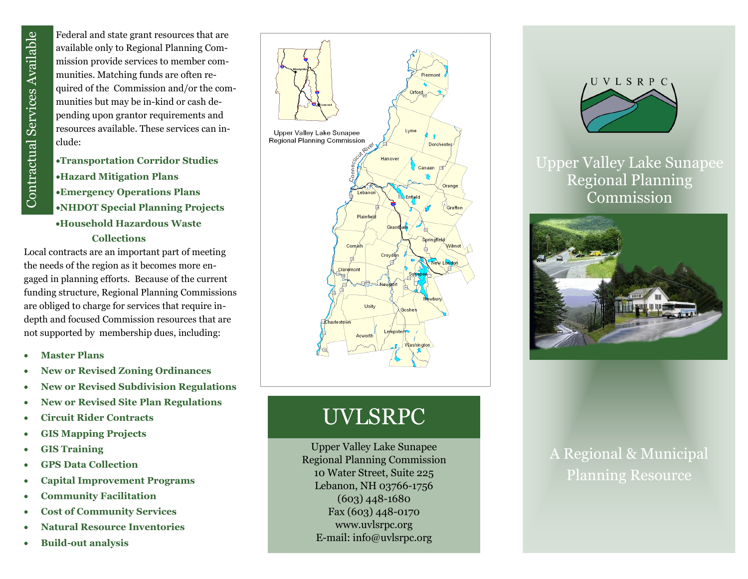Federal and state grant resources that are available only to Regional Planning Commission provide services to member communities. Matching funds are often required of the Commission and/or the communities but may be in-kind or cash depending upon grantor requirements and resources available. These services can include:

**Transportation Corridor Studies Hazard Mitigation Plans Emergency Operations Plans NHDOT Special Planning Projects Household Hazardous Waste Collections** 

Local contracts are an important part of meeting the needs of the region as it becomes more engaged in planning efforts. Because of the current funding structure, Regional Planning Commissions are obliged to charge for services that require in depth and focused Commission resources that are not supported by membership dues, including: **Build-Contract Services Available only to a mission provide summitties. Matching unities but may pending upon grand resources available dude:<br>
<b>Build-Contract Services Available only to 1** mass resources available dude:<br>

- **Master Plans**
- **New or Revised Zoning Ordinances**
- **New or Revised Subdivision Regulations**
- **New or Revised Site Plan Regulations**
- **Circuit Rider Contracts**
- **GIS Mapping Projects**
- **GIS Training**
- **GPS Data Collection**
- **Capital Improvement Programs**
- **Community Facilitation**
- **Cost of Community Services**
- **Natural Resource Inventories**
- 



## UVLSRPC

Upper Valley Lake Sunapee Regional Planning Commission 10 Water Street, Suite 225 Lebanon, NH 03766 -1756 (603) 448 -1680 Fax (603) 448 -0170 www.uvlsrpc.org E -mail: info@uvlsrpc.org



Upper Valley Lake Sunapee Regional Planning Commission



## A Regional & Municipal Planning Resource